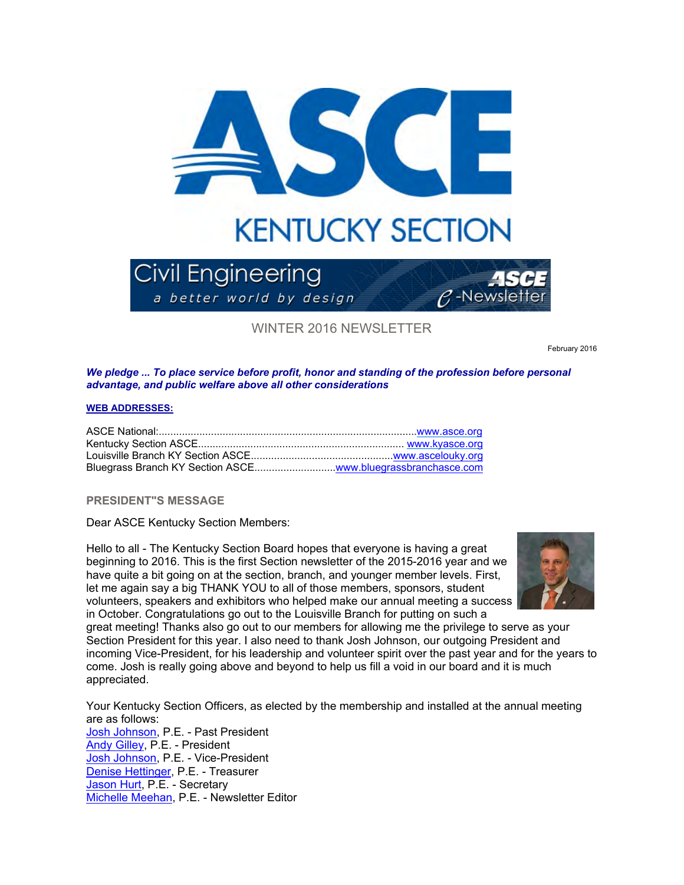

WINTER 2016 NEWSLETTER

February 2016

### *We pledge ... To place service before profit, honor and standing of the profession before personal advantage, and public welfare above all other considerations*

#### **WEB ADDRESSES:**

## **PRESIDENT"S MESSAGE**

Dear ASCE Kentucky Section Members:

Hello to all - The Kentucky Section Board hopes that everyone is having a great beginning to 2016. This is the first Section newsletter of the 2015-2016 year and we have quite a bit going on at the section, branch, and younger member levels. First, let me again say a big THANK YOU to all of those members, sponsors, student volunteers, speakers and exhibitors who helped make our annual meeting a success in October. Congratulations go out to the Louisville Branch for putting on such a



great meeting! Thanks also go out to our members for allowing me the privilege to serve as your Section President for this year. I also need to thank Josh Johnson, our outgoing President and incoming Vice-President, for his leadership and volunteer spirit over the past year and for the years to come. Josh is really going above and beyond to help us fill a void in our board and it is much appreciated.

Your Kentucky Section Officers, as elected by the membership and installed at the annual meeting are as follows: Josh Johnson, P.E. - Past President Andy Gilley, P.E. - President Josh Johnson, P.E. - Vice-President Denise Hettinger, P.E. - Treasurer Jason Hurt, P.E. - Secretary Michelle Meehan, P.E. - Newsletter Editor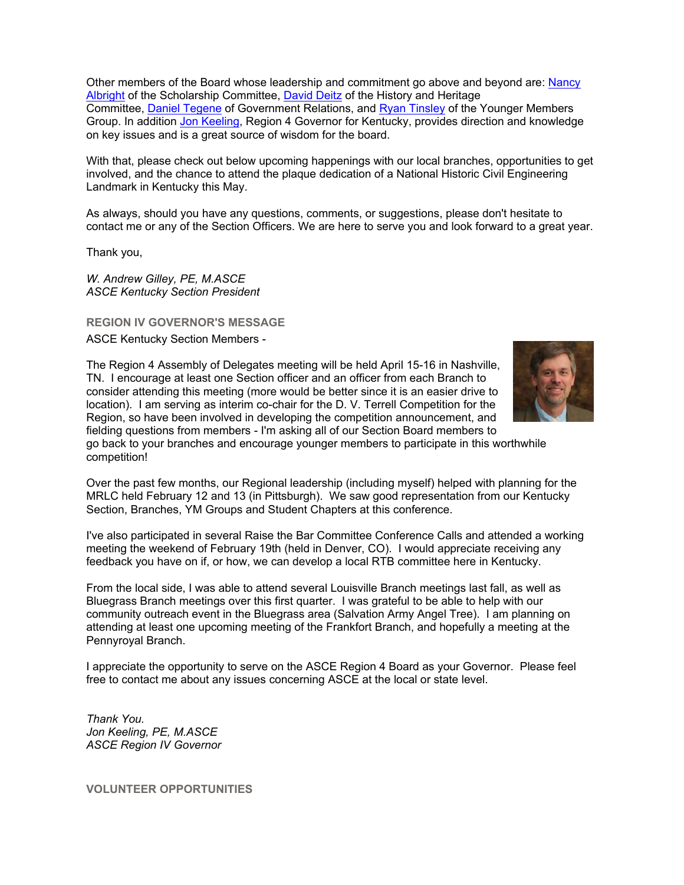Other members of the Board whose leadership and commitment go above and beyond are: Nancy Albright of the Scholarship Committee, David Deitz of the History and Heritage Committee, Daniel Tegene of Government Relations, and Ryan Tinsley of the Younger Members Group. In addition Jon Keeling, Region 4 Governor for Kentucky, provides direction and knowledge on key issues and is a great source of wisdom for the board.

With that, please check out below upcoming happenings with our local branches, opportunities to get involved, and the chance to attend the plaque dedication of a National Historic Civil Engineering Landmark in Kentucky this May.

As always, should you have any questions, comments, or suggestions, please don't hesitate to contact me or any of the Section Officers. We are here to serve you and look forward to a great year.

Thank you,

*W. Andrew Gilley, PE, M.ASCE ASCE Kentucky Section President* 

**REGION IV GOVERNOR'S MESSAGE**

ASCE Kentucky Section Members -

The Region 4 Assembly of Delegates meeting will be held April 15-16 in Nashville, TN. I encourage at least one Section officer and an officer from each Branch to consider attending this meeting (more would be better since it is an easier drive to location). I am serving as interim co-chair for the D. V. Terrell Competition for the Region, so have been involved in developing the competition announcement, and fielding questions from members - I'm asking all of our Section Board members to go back to your branches and encourage younger members to participate in this worthwhile competition!



Over the past few months, our Regional leadership (including myself) helped with planning for the MRLC held February 12 and 13 (in Pittsburgh). We saw good representation from our Kentucky Section, Branches, YM Groups and Student Chapters at this conference.

I've also participated in several Raise the Bar Committee Conference Calls and attended a working meeting the weekend of February 19th (held in Denver, CO). I would appreciate receiving any feedback you have on if, or how, we can develop a local RTB committee here in Kentucky.

From the local side, I was able to attend several Louisville Branch meetings last fall, as well as Bluegrass Branch meetings over this first quarter. I was grateful to be able to help with our community outreach event in the Bluegrass area (Salvation Army Angel Tree). I am planning on attending at least one upcoming meeting of the Frankfort Branch, and hopefully a meeting at the Pennyroyal Branch.

I appreciate the opportunity to serve on the ASCE Region 4 Board as your Governor. Please feel free to contact me about any issues concerning ASCE at the local or state level.

*Thank You. Jon Keeling, PE, M.ASCE ASCE Region IV Governor*

**VOLUNTEER OPPORTUNITIES**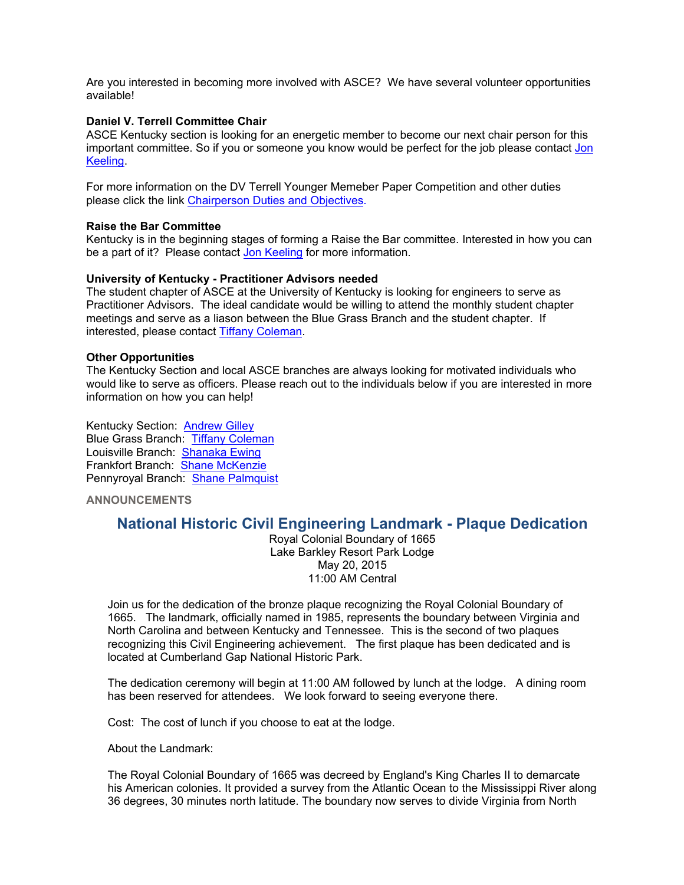Are you interested in becoming more involved with ASCE? We have several volunteer opportunities available!

## **Daniel V. Terrell Committee Chair**

ASCE Kentucky section is looking for an energetic member to become our next chair person for this important committee. So if you or someone you know would be perfect for the job please contact Jon Keeling.

For more information on the DV Terrell Younger Memeber Paper Competition and other duties please click the link Chairperson Duties and Objectives.

#### **Raise the Bar Committee**

Kentucky is in the beginning stages of forming a Raise the Bar committee. Interested in how you can be a part of it? Please contact Jon Keeling for more information.

### **University of Kentucky - Practitioner Advisors needed**

The student chapter of ASCE at the University of Kentucky is looking for engineers to serve as Practitioner Advisors. The ideal candidate would be willing to attend the monthly student chapter meetings and serve as a liason between the Blue Grass Branch and the student chapter. If interested, please contact Tiffany Coleman.

### **Other Opportunities**

The Kentucky Section and local ASCE branches are always looking for motivated individuals who would like to serve as officers. Please reach out to the individuals below if you are interested in more information on how you can help!

Kentucky Section: Andrew Gilley Blue Grass Branch: Tiffany Coleman Louisville Branch: Shanaka Ewing Frankfort Branch: Shane McKenzie Pennyroyal Branch: Shane Palmquist

**ANNOUNCEMENTS**

# **National Historic Civil Engineering Landmark - Plaque Dedication**

Royal Colonial Boundary of 1665 Lake Barkley Resort Park Lodge May 20, 2015 11:00 AM Central

Join us for the dedication of the bronze plaque recognizing the Royal Colonial Boundary of 1665. The landmark, officially named in 1985, represents the boundary between Virginia and North Carolina and between Kentucky and Tennessee. This is the second of two plaques recognizing this Civil Engineering achievement. The first plaque has been dedicated and is located at Cumberland Gap National Historic Park.

The dedication ceremony will begin at 11:00 AM followed by lunch at the lodge. A dining room has been reserved for attendees. We look forward to seeing everyone there.

Cost: The cost of lunch if you choose to eat at the lodge.

About the Landmark:

The Royal Colonial Boundary of 1665 was decreed by England's King Charles II to demarcate his American colonies. It provided a survey from the Atlantic Ocean to the Mississippi River along 36 degrees, 30 minutes north latitude. The boundary now serves to divide Virginia from North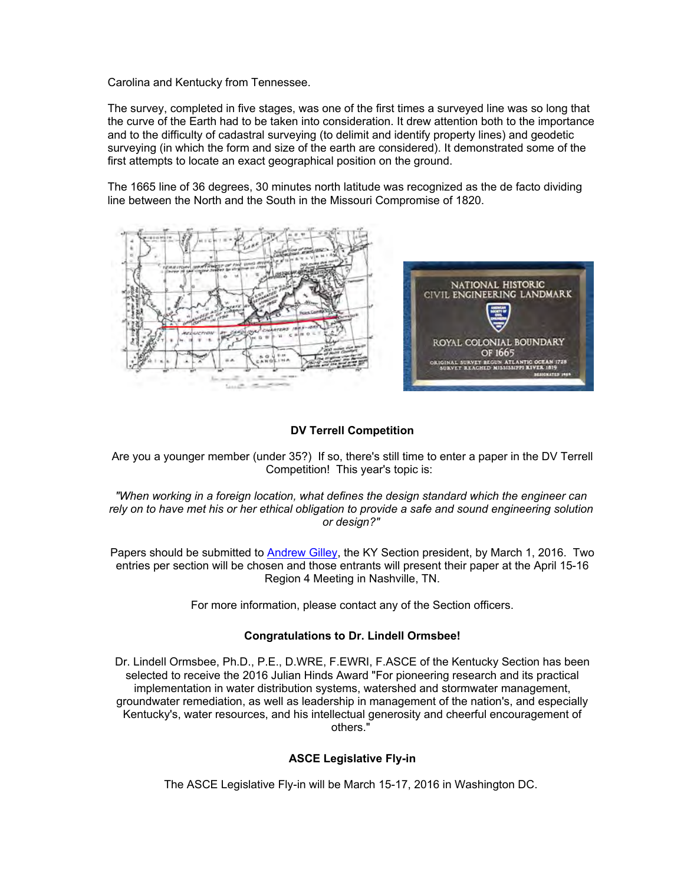Carolina and Kentucky from Tennessee.

The survey, completed in five stages, was one of the first times a surveyed line was so long that the curve of the Earth had to be taken into consideration. It drew attention both to the importance and to the difficulty of cadastral surveying (to delimit and identify property lines) and geodetic surveying (in which the form and size of the earth are considered). It demonstrated some of the first attempts to locate an exact geographical position on the ground.

The 1665 line of 36 degrees, 30 minutes north latitude was recognized as the de facto dividing line between the North and the South in the Missouri Compromise of 1820.



## **DV Terrell Competition**

Are you a younger member (under 35?) If so, there's still time to enter a paper in the DV Terrell Competition! This year's topic is:

*"When working in a foreign location, what defines the design standard which the engineer can rely on to have met his or her ethical obligation to provide a safe and sound engineering solution or design?"*

Papers should be submitted to **Andrew Gilley**, the KY Section president, by March 1, 2016. Two entries per section will be chosen and those entrants will present their paper at the April 15-16 Region 4 Meeting in Nashville, TN.

For more information, please contact any of the Section officers.

## **Congratulations to Dr. Lindell Ormsbee!**

Dr. Lindell Ormsbee, Ph.D., P.E., D.WRE, F.EWRI, F.ASCE of the Kentucky Section has been selected to receive the 2016 Julian Hinds Award "For pioneering research and its practical implementation in water distribution systems, watershed and stormwater management, groundwater remediation, as well as leadership in management of the nation's, and especially Kentucky's, water resources, and his intellectual generosity and cheerful encouragement of others."

## **ASCE Legislative Fly-in**

The ASCE Legislative Fly-in will be March 15-17, 2016 in Washington DC.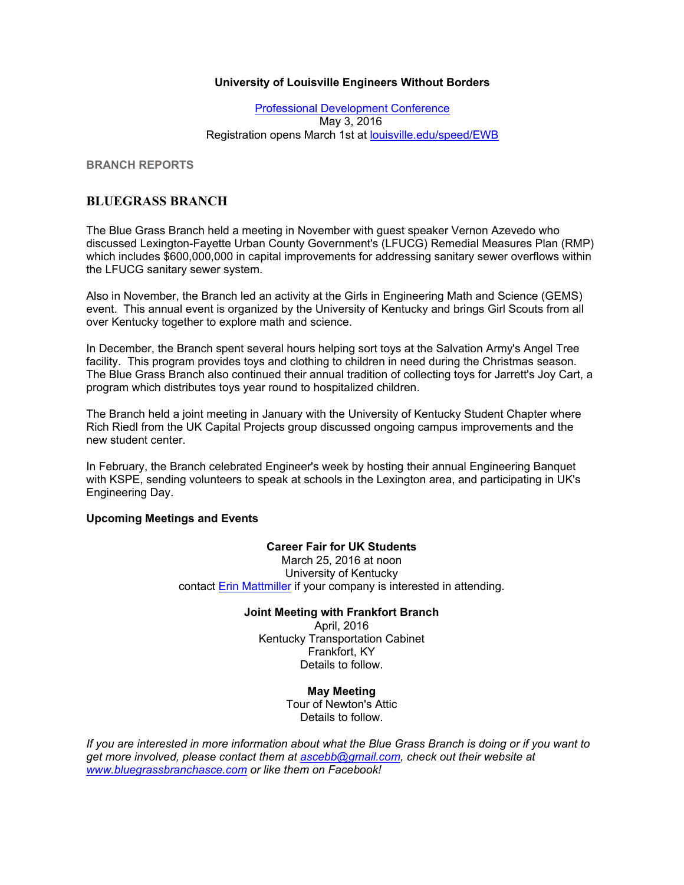## **University of Louisville Engineers Without Borders**

Professional Development Conference May 3, 2016 Registration opens March 1st at louisville.edu/speed/EWB

**BRANCH REPORTS**

## **BLUEGRASS BRANCH**

The Blue Grass Branch held a meeting in November with guest speaker Vernon Azevedo who discussed Lexington-Fayette Urban County Government's (LFUCG) Remedial Measures Plan (RMP) which includes \$600,000,000 in capital improvements for addressing sanitary sewer overflows within the LFUCG sanitary sewer system.

Also in November, the Branch led an activity at the Girls in Engineering Math and Science (GEMS) event. This annual event is organized by the University of Kentucky and brings Girl Scouts from all over Kentucky together to explore math and science.

In December, the Branch spent several hours helping sort toys at the Salvation Army's Angel Tree facility. This program provides toys and clothing to children in need during the Christmas season. The Blue Grass Branch also continued their annual tradition of collecting toys for Jarrett's Joy Cart, a program which distributes toys year round to hospitalized children.

The Branch held a joint meeting in January with the University of Kentucky Student Chapter where Rich Riedl from the UK Capital Projects group discussed ongoing campus improvements and the new student center.

In February, the Branch celebrated Engineer's week by hosting their annual Engineering Banquet with KSPE, sending volunteers to speak at schools in the Lexington area, and participating in UK's Engineering Day.

## **Upcoming Meetings and Events**

## **Career Fair for UK Students**

March 25, 2016 at noon University of Kentucky contact Erin Mattmiller if your company is interested in attending.

## **Joint Meeting with Frankfort Branch**

April, 2016 Kentucky Transportation Cabinet Frankfort, KY Details to follow.

> **May Meeting** Tour of Newton's Attic

Details to follow.

*If you are interested in more information about what the Blue Grass Branch is doing or if you want to get more involved, please contact them at ascebb@gmail.com, check out their website at www.bluegrassbranchasce.com or like them on Facebook!*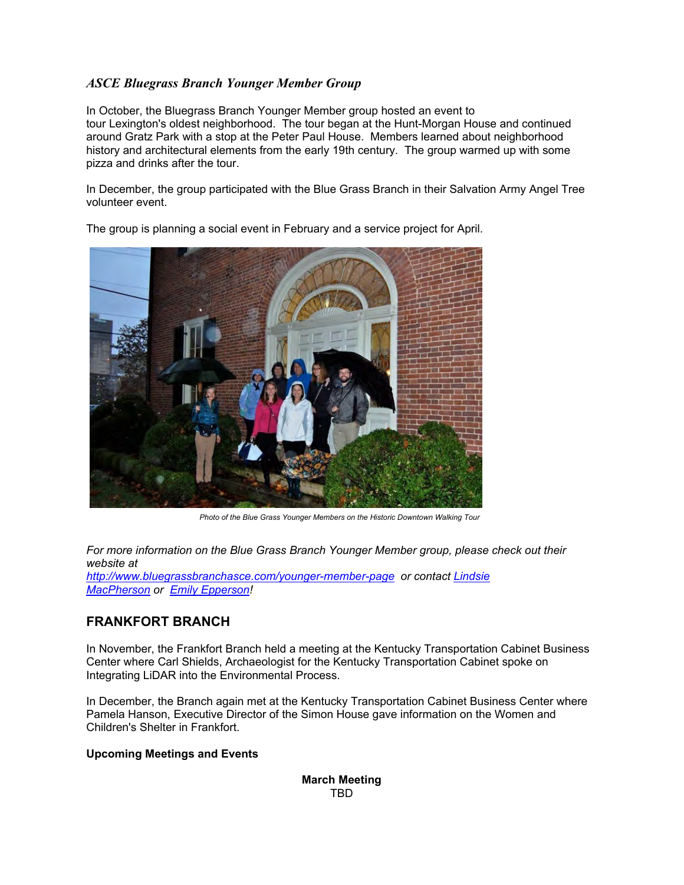# *ASCE Bluegrass Branch Younger Member Group*

In October, the Bluegrass Branch Younger Member group hosted an event to tour Lexington's oldest neighborhood. The tour began at the Hunt-Morgan House and continued around Gratz Park with a stop at the Peter Paul House. Members learned about neighborhood history and architectural elements from the early 19th century. The group warmed up with some pizza and drinks after the tour.

In December, the group participated with the Blue Grass Branch in their Salvation Army Angel Tree volunteer event.



The group is planning a social event in February and a service project for April.

*Photo of the Blue Grass Younger Members on the Historic Downtown Walking Tour*

*For more information on the Blue Grass Branch Younger Member group, please check out their website at http://www.bluegrassbranchasce.com/younger-member-page or contact Lindsie MacPherson or Emily Epperson!*

# **FRANKFORT BRANCH**

In November, the Frankfort Branch held a meeting at the Kentucky Transportation Cabinet Business Center where Carl Shields, Archaeologist for the Kentucky Transportation Cabinet spoke on Integrating LiDAR into the Environmental Process.

In December, the Branch again met at the Kentucky Transportation Cabinet Business Center where Pamela Hanson, Executive Director of the Simon House gave information on the Women and Children's Shelter in Frankfort.

## **Upcoming Meetings and Events**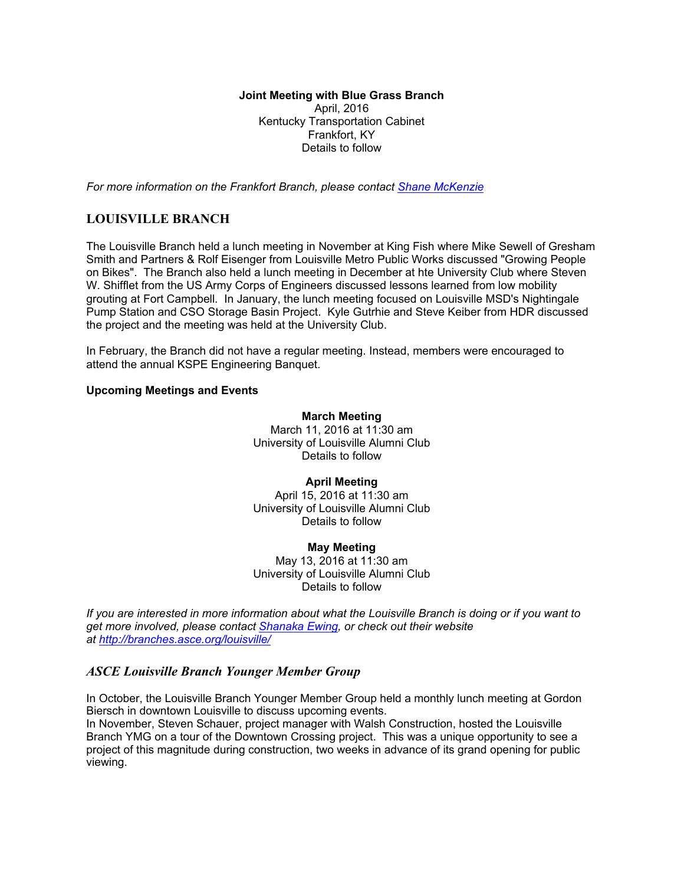**Joint Meeting with Blue Grass Branch** April, 2016 Kentucky Transportation Cabinet Frankfort, KY Details to follow

*For more information on the Frankfort Branch, please contact Shane McKenzie*

## **LOUISVILLE BRANCH**

The Louisville Branch held a lunch meeting in November at King Fish where Mike Sewell of Gresham Smith and Partners & Rolf Eisenger from Louisville Metro Public Works discussed "Growing People on Bikes". The Branch also held a lunch meeting in December at hte University Club where Steven W. Shifflet from the US Army Corps of Engineers discussed lessons learned from low mobility grouting at Fort Campbell. In January, the lunch meeting focused on Louisville MSD's Nightingale Pump Station and CSO Storage Basin Project. Kyle Gutrhie and Steve Keiber from HDR discussed the project and the meeting was held at the University Club.

In February, the Branch did not have a regular meeting. Instead, members were encouraged to attend the annual KSPE Engineering Banquet.

#### **Upcoming Meetings and Events**

#### **March Meeting**

March 11, 2016 at 11:30 am University of Louisville Alumni Club Details to follow

#### **April Meeting**

April 15, 2016 at 11:30 am University of Louisville Alumni Club Details to follow

### **May Meeting** May 13, 2016 at 11:30 am University of Louisville Alumni Club Details to follow

*If you are interested in more information about what the Louisville Branch is doing or if you want to get more involved, please contact Shanaka Ewing, or check out their website at http://branches.asce.org/louisville/*

## *ASCE Louisville Branch Younger Member Group*

In October, the Louisville Branch Younger Member Group held a monthly lunch meeting at Gordon Biersch in downtown Louisville to discuss upcoming events.

In November, Steven Schauer, project manager with Walsh Construction, hosted the Louisville Branch YMG on a tour of the Downtown Crossing project. This was a unique opportunity to see a project of this magnitude during construction, two weeks in advance of its grand opening for public viewing.